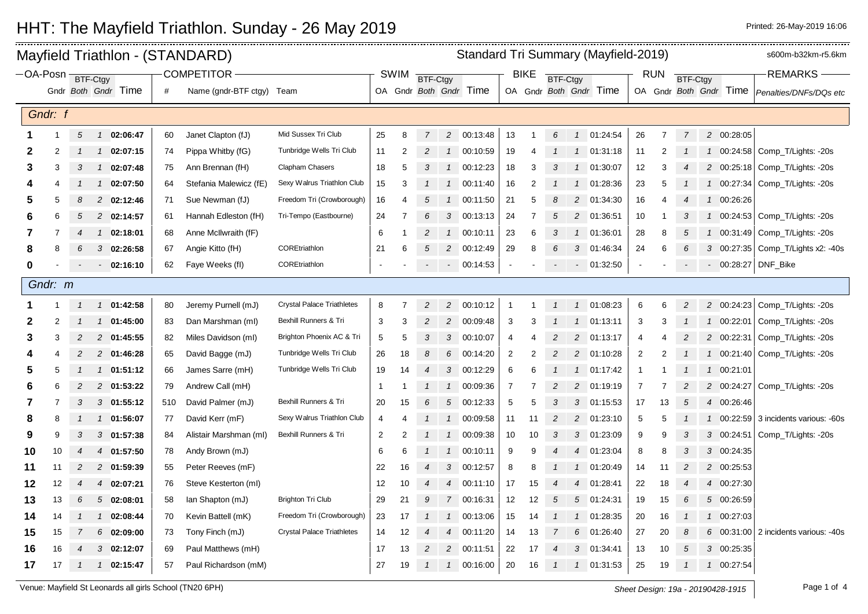|         |                                       |                |               |                     |     | Mayfield Triathlon - (STANDARD) | Standard Tri Summary (Mayfield-2019) |                |                |                |                |                        |                |                 |   |                 |                        |                |                 |                | s600m-b32km-r5.6km |                        |                                      |
|---------|---------------------------------------|----------------|---------------|---------------------|-----|---------------------------------|--------------------------------------|----------------|----------------|----------------|----------------|------------------------|----------------|-----------------|---|-----------------|------------------------|----------------|-----------------|----------------|--------------------|------------------------|--------------------------------------|
|         | <b>COMPETITOR</b><br>OA-Posn BTF-Ctgy |                |               |                     |     |                                 |                                      | <b>SWIM</b>    | BTF-Ctgy       |                |                |                        | <b>BIKE</b>    | <b>BTF-Ctgy</b> |   |                 |                        | <b>RUN</b>     | <b>BTF-Ctgy</b> |                |                    | <b>REMARKS</b>         |                                      |
|         |                                       |                |               | Gndr Both Gndr Time | #   | Name (gndr-BTF ctgy) Team       |                                      |                |                |                |                | OA Gndr Both Gndr Time |                |                 |   |                 | OA Gndr Both Gndr Time |                |                 |                |                    | OA Gndr Both Gndr Time | Penalties/DNFs/DQs etc               |
|         | Gndr: f                               |                |               |                     |     |                                 |                                      |                |                |                |                |                        |                |                 |   |                 |                        |                |                 |                |                    |                        |                                      |
|         |                                       |                |               |                     |     |                                 |                                      |                |                |                |                |                        |                |                 |   |                 |                        |                |                 |                |                    |                        |                                      |
|         |                                       | $\sqrt{5}$     | $\mathcal{I}$ | 02:06:47            | 60  | Janet Clapton (fJ)              | Mid Sussex Tri Club                  | 25             | 8              | 7              | $\overline{c}$ | 00:13:48               | 13             | 1               | 6 | $\overline{1}$  | 01:24:54               | 26             | $\overline{7}$  | $\overline{7}$ |                    | 2 00:28:05             |                                      |
| 2       | 2                                     |                | $\mathcal{I}$ | 02:07:15            | 74  | Pippa Whitby (fG)               | Tunbridge Wells Tri Club             | 11             | 2              | 2              | $\overline{1}$ | 00:10:59               | 19             |                 |   | $\overline{1}$  | 01:31:18               | 11             | 2               |                | $\mathcal{I}$      |                        | 00:24:58 Comp_T/Lights: -20s         |
| 3       | 3                                     |                | $\mathcal{I}$ | 02:07:48            | 75  | Ann Brennan (fH)                | Clapham Chasers                      | 18             | 5              |                |                | 1 00:12:23             | 18             | 3               |   | $\overline{1}$  | 01:30:07               | 12             | 3               |                |                    |                        | 2 00:25:18 Comp_T/Lights: -20s       |
| 4       | 4                                     |                | $\mathcal{I}$ | 02:07:50            | 64  | Stefania Malewicz (fE)          | Sexy Walrus Triathlon Club           | 15             | 3              |                | $\overline{1}$ | 00:11:40               | 16             | 2               |   | $\overline{1}$  | 01:28:36               | 23             | 5               |                | $\mathcal{I}$      | 00:27:34               | Comp_T/Lights: -20s                  |
| 5       | 5                                     | 8              |               | 2 02:12:46          | 71  | Sue Newman (fJ)                 | Freedom Tri (Crowborough)            | 16             | $\overline{4}$ | 5              | $\overline{1}$ | 00:11:50               | 21             | 5               | 8 | 2               | 01:34:30               | 16             | 4               | 4              | $\mathbf{1}$       | 00:26:26               |                                      |
| 6       | 6                                     | 5              | 2             | 02:14:57            | 61  | Hannah Edleston (fH)            | Tri-Tempo (Eastbourne)               | 24             |                | 6              | 3              | 00:13:13               | 24             |                 | 5 | $\overline{c}$  | 01:36:51               | 10             |                 | 3              | $\mathcal{I}$      | 00:24:53               | Comp_T/Lights: -20s                  |
| 7       | 7                                     | 4              | $\mathcal{I}$ | 02:18:01            | 68  | Anne McIlwraith (fF)            |                                      | 6              |                | $\overline{c}$ |                | 1 00:10:11             | 23             | 6               | 3 | $\overline{1}$  | 01:36:01               | 28             | 8               | 5              | $\mathcal{I}$      |                        | 00:31:49 Comp_T/Lights: -20s         |
| 8       | 8                                     | 6              | 3             | 02:26:58            | 67  | Angie Kitto (fH)                | COREtriathlon                        | 21             | 6              | 5              | $\overline{2}$ | 00:12:49               | 29             | 8               | 6 | $\mathcal{S}$   | 01:46:34               | 24             | 6               | 6              |                    |                        | 3 00:27:35 Comp_T/Lights x2: -40s    |
| 0       |                                       |                |               | 02:16:10            | 62  | Faye Weeks (fl)                 | COREtriathlon                        |                |                |                |                | $-00:14:53$            | $\sim$         |                 |   |                 | $- 01:32:50$           |                |                 |                |                    |                        | 00:28:27 DNF_Bike                    |
| Gndr: m |                                       |                |               |                     |     |                                 |                                      |                |                |                |                |                        |                |                 |   |                 |                        |                |                 |                |                    |                        |                                      |
|         |                                       |                | $\mathcal{I}$ | 01:42:58            | 80  | Jeremy Purnell (mJ)             | <b>Crystal Palace Triathletes</b>    | 8              | 7              | $\overline{2}$ | 2              | 00:10:12               | -1             |                 |   | $\overline{1}$  | 01:08:23               | 6              | 6               | 2              |                    | 2 00:24:23             | Comp_T/Lights: -20s                  |
| 2       | 2                                     |                | $\mathcal{I}$ | 01:45:00            | 83  | Dan Marshman (ml)               | Bexhill Runners & Tri                | 3              | 3              | 2              | $\overline{2}$ | 00:09:48               | 3              |                 |   | $\overline{1}$  | 01:13:11               | 3              | 3               |                | $\mathcal{I}$      | 00:22:01               | Comp_T/Lights: -20s                  |
| 3       | 3                                     | 2              |               | 2 01:45:55          | 82  | Miles Davidson (ml)             | Brighton Phoenix AC & Tri            | 5              | 5              | 3              |                | 3 00:10:07             | $\overline{4}$ |                 | 2 | 2               | 01:13:17               | $\overline{4}$ | 4               | $\overline{c}$ |                    | 2 00:22:31             | Comp_T/Lights: -20s                  |
| 4       | 4                                     | 2              |               | 2 01:46:28          | 65  | David Bagge (mJ)                | Tunbridge Wells Tri Club             | 26             | 18             | 8              | 6              | 00:14:20               | 2              | 2               | 2 | $\overline{2}$  | 01:10:28               | $\overline{2}$ | $\overline{2}$  |                | $\mathcal{I}$      | 00:21:40               | Comp_T/Lights: -20s                  |
| 5       | 5                                     |                | $\mathcal{I}$ | 01:51:12            | 66  | James Sarre (mH)                | Tunbridge Wells Tri Club             | 19             | 14             | 4              | $\mathbf{3}$   | 00:12:29               | 6              | 6               |   | $\overline{1}$  | 01:17:42               | -1             |                 | 1              | $\mathcal{I}$      | 00:21:01               |                                      |
| 6       | 6                                     | 2              | 2             | 01:53:22            | 79  | Andrew Call (mH)                |                                      | $\overline{1}$ |                |                |                | 1 00:09:36             | 7              | 7               | 2 | 2               | 01:19:19               | 7              |                 |                |                    | 2 00:24:27             | Comp_T/Lights: -20s                  |
| 7       | 7                                     | 3              |               | $3$ 01:55:12        | 510 | David Palmer (mJ)               | Bexhill Runners & Tri                | 20             | 15             | 6              | 5              | 00:12:33               | 5              | 5               | 3 | $\mathcal{S}$   | 01:15:53               | 17             | 13              | 5              |                    | 4 00:26:46             |                                      |
| 8       | 8                                     |                | $\mathcal{I}$ | 01:56:07            | 77  | David Kerr (mF)                 | Sexy Walrus Triathlon Club           | 4              |                |                | $\overline{1}$ | 00:09:58               | 11             | 11              | 2 | 2               | 01:23:10               | 5              | 5               |                | $\mathcal{I}$      | 00:22:59               | 3 incidents various: -60s            |
| 9       | 9                                     | 3              |               | $3$ 01:57:38        | 84  | Alistair Marshman (ml)          | Bexhill Runners & Tri                | 2              | 2              |                | $\mathcal{I}$  | 00:09:38               | 10             | 10              |   | 3               | 01:23:09               | 9              | 9               | 3              |                    | 3 00:24:51             | Comp_T/Lights: -20s                  |
| 10      | 10                                    | 4              | 4             | 01:57:50            | 78  | Andy Brown (mJ)                 |                                      | 6              | 6              |                | $\overline{1}$ | 00:10:11               | 9              | 9               |   | $\overline{4}$  | 01:23:04               | 8              | 8               | 3              |                    | 3 00:24:35             |                                      |
| 11      | 11                                    | $\overline{c}$ | 2             | 01:59:39            | 55  | Peter Reeves (mF)               |                                      | 22             | 16             | 4              | 3              | 00:12:57               | 8              | 8               |   | $\overline{1}$  | 01:20:49               | 14             | 11              | $\overline{c}$ |                    | 2 00:25:53             |                                      |
| 12      | 12                                    | $\overline{4}$ | 4             | 02:07:21            | 76  | Steve Kesterton (ml)            |                                      | 12             | 10             |                | $\overline{4}$ | 00:11:10               | 17             | 15              |   | $\overline{4}$  | 01:28:41               | 22             | 18              | 4              |                    | 4 00:27:30             |                                      |
| 13      | 13                                    | 6              |               | 502:08:01           | 58  | lan Shapton (mJ)                | <b>Brighton Tri Club</b>             | 29             | 21             | 9              |                | 7 00:16:31             | 12             | 12              | 5 | $5\overline{5}$ | 01:24:31               | 19             | 15              | 6              |                    | 5 00:26:59             |                                      |
| 14      | 14                                    |                |               | 02:08:44            | 70  | Kevin Battell (mK)              | Freedom Tri (Crowborough)            | 23             | 17             |                | $\mathcal I$   | 00:13:06               | 15             | 14              |   | $\overline{1}$  | 01:28:35               | 20             | 16              | $\mathcal I$   |                    | 1 00:27:03             |                                      |
| 15      | 15                                    |                | 6             | 02:09:00            | 73  | Tony Finch (mJ)                 | <b>Crystal Palace Triathletes</b>    | 14             | 12             | 4              | $\overline{4}$ | 00:11:20               | 14             | 13              |   | $6\overline{6}$ | 01:26:40               | 27             | 20              | 8              |                    |                        | 6 00:31:00 2 incidents various: -40s |
| 16      | 16                                    |                | 3             | 02:12:07            | 69  | Paul Matthews (mH)              |                                      | 17             | 13             |                | $\overline{c}$ | 00:11:51               | 22             | 17              |   | 3               | 01:34:41               | 13             | 10              | 5              |                    | 3 00:25:35             |                                      |
| 17      | 17                                    |                | $\mathcal{I}$ | 02:15:47            | 57  | Paul Richardson (mM)            |                                      | 27             | 19             | $\mathcal I$   | $\mathcal{I}$  | 00:16:00               | 20             | 16              |   | $\overline{1}$  | 01:31:53               | 25             | 19              | $\mathcal I$   | $\mathbf{1}$       | 00:27:54               |                                      |

## HHT: The Mayfield Triathlon. Sunday - 26 May 2019 **Printed: 26 May 2019 16:06** Printed: 26-May-2019 16:06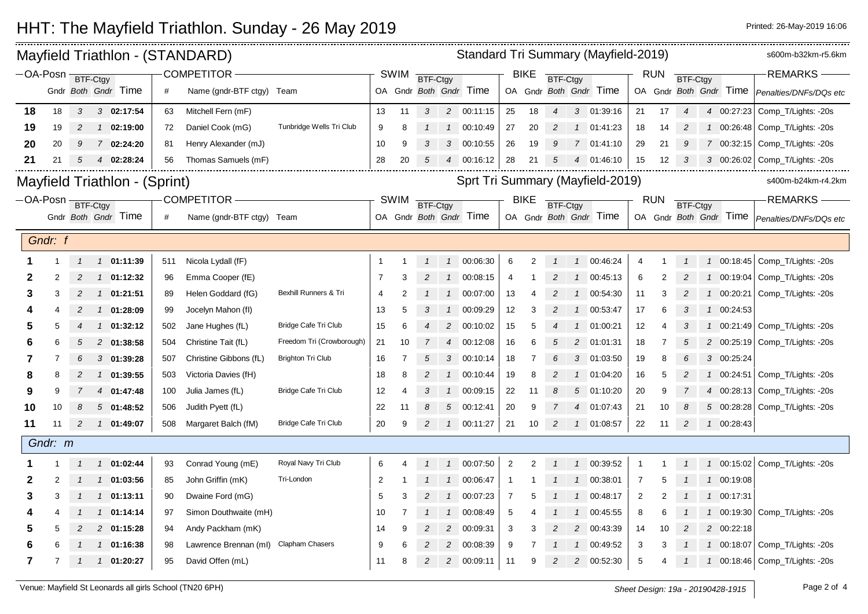## HHT: The Mayfield Triathlon. Sunday - 26 May 2019 **Printed: 26 May 2019 16:06** Printed: 26-May-2019 16:06

| Standard Tri Summary (Mayfield-2019)<br>Mayfield Triathlon - (STANDARD) |         |                |  |                               |     |                           |                             |                                  |             |                 |                 |                        |                |                | s600m-b32km-r5.6km |                |                        |                |            |                            |  |                        |                                                 |
|-------------------------------------------------------------------------|---------|----------------|--|-------------------------------|-----|---------------------------|-----------------------------|----------------------------------|-------------|-----------------|-----------------|------------------------|----------------|----------------|--------------------|----------------|------------------------|----------------|------------|----------------------------|--|------------------------|-------------------------------------------------|
| $-$ OA-Posn                                                             |         | BTF-Ctgy       |  |                               |     | <b>COMPETITOR</b>         |                             |                                  | SWIM        | <b>BTF-Ctgy</b> |                 |                        |                | <b>BIKE</b>    | <b>BTF-Ctgy</b>    |                |                        |                | <b>RUN</b> | BTF-Ctgy                   |  |                        | <b>REMARKS</b>                                  |
|                                                                         |         |                |  | Gndr Both Gndr Time           | #   | Name (gndr-BTF ctgy) Team |                             |                                  |             |                 |                 | OA Gndr Both Gndr Time |                |                |                    |                | OA Gndr Both Gndr Time |                |            |                            |  | OA Gndr Both Gndr Time | Penalties/DNFs/DQs etc                          |
| 18                                                                      | 18      | 3              |  | $3$ 02:17:54                  | 63  | Mitchell Fern (mF)        |                             | 13                               | 11          | 3               | 2               | 00:11:15               | 25             | 18             | 4                  | 3              | 01:39:16               | 21             | 17         | $\boldsymbol{\mathcal{A}}$ |  | 4 00:27:23             | Comp_T/Lights: -20s                             |
| 19                                                                      | 19      | 2              |  | $1 \quad 02:19:00$            | 72  | Daniel Cook (mG)          | Tunbridge Wells Tri Club    | 9                                | 8           |                 |                 | 1 00:10:49             | 27             | 20             | $\overline{2}$     | $\overline{1}$ | 01:41:23               | 18             | 14         | 2                          |  | 1 00:26:48             | Comp_T/Lights: -20s                             |
| 20                                                                      | 20      | 9              |  | 7 02:24:20                    | -81 | Henry Alexander (mJ)      |                             | 10                               | 9           | 3               |                 | 3 00:10:55             | 26             | 19             | 9                  |                | 7 01:41:10             | 29             | 21         | 9                          |  | 7 00:32:15             | Comp_T/Lights: -20s                             |
| 21                                                                      | 21      | 5              |  | 4 02:28:24                    | 56  | Thomas Samuels (mF)       |                             | 28                               | 20          | 5               |                 | 4 00:16:12             | 28             | 21             | 5                  | 4              | 01:46:10               | 15             | 12         | 3                          |  | 3 00:26:02             | Comp_T/Lights: -20s                             |
|                                                                         |         |                |  | Mayfield Triathlon - (Sprint) |     |                           |                             | Sprt Tri Summary (Mayfield-2019) |             |                 |                 |                        |                |                |                    |                |                        |                |            | s400m-b24km-r4.2km         |  |                        |                                                 |
| $-OA-Posn$ BTF-Ctgy                                                     |         |                |  |                               |     | <b>COMPETITOR</b>         |                             |                                  | <b>SWIM</b> | <b>BTF-Ctgy</b> |                 |                        |                | <b>BIKE</b>    | BTF-Ctgy           |                |                        |                | <b>RUN</b> | BTF-Ctgy                   |  |                        | <b>REMARKS</b>                                  |
|                                                                         |         |                |  | Gndr Both Gndr Time           | #   | Name (gndr-BTF ctgy) Team |                             |                                  |             |                 |                 | OA Gndr Both Gndr Time |                |                |                    |                | OA Gndr Both Gndr Time |                |            |                            |  |                        | OA Gndr Both Gndr Time   Penalties/DNFs/DQs etc |
|                                                                         | Gndr: f |                |  |                               |     |                           |                             |                                  |             |                 |                 |                        |                |                |                    |                |                        |                |            |                            |  |                        |                                                 |
|                                                                         |         | $\mathcal{I}$  |  | 1 01:11:39                    | 511 | Nicola Lydall (fF)        |                             | $\mathbf 1$                      |             |                 |                 | 1 00:06:30             | 6              | $\overline{2}$ |                    | $\overline{1}$ | 00:46:24               | 4              |            |                            |  |                        | 1 00:18:45 Comp T/Lights: -20s                  |
| 2                                                                       | 2       | $\overline{2}$ |  | $1$ 01:12:32                  | 96  | Emma Cooper (fE)          |                             | $\overline{7}$                   | 3           | $\overline{c}$  | $\overline{1}$  | 00:08:15               | $\overline{4}$ |                | 2                  | $\overline{1}$ | 00:45:13               | 6              | 2          | 2                          |  | 1 00:19:04             | Comp_T/Lights: -20s                             |
| 3                                                                       | 3       | $\overline{2}$ |  | $1 \quad 01:21:51$            | 89  | Helen Goddard (fG)        | Bexhill Runners & Tri       | 4                                | 2           |                 | $\mathcal{I}$   | 00:07:00               | 13             |                | 2                  | $\overline{1}$ | 00:54:30               | 11             |            | 2                          |  | 1 00:20:21             | Comp_T/Lights: -20s                             |
|                                                                         |         | $\overline{2}$ |  | 1 01:28:09                    | 99  | Jocelyn Mahon (fl)        |                             | 13                               | 5           |                 | $\mathcal{I}$   | 00:09:29               | 12             | 3              |                    | $\overline{1}$ | 00:53:47               | 17             |            | 3                          |  | 1 00:24:53             |                                                 |
|                                                                         | 5       | $\overline{4}$ |  | 1 01:32:12                    | 502 | Jane Hughes (fL)          | Bridge Cafe Tri Club        | 15                               | 6           |                 |                 | 2 00:10:02             | 15             | 5              |                    | $\overline{1}$ | 01:00:21               | 12             |            | 3                          |  |                        | 1 00:21:49 Comp_T/Lights: -20s                  |
|                                                                         | 6       | 5              |  | 2 01:38:58                    | 504 | Christine Tait (fL)       | Freedom Tri (Crowborough)   | 21                               | 10          |                 | $\overline{4}$  | 00:12:08               | 16             | 6              | 5                  | $\overline{c}$ | 01:01:31               | 18             | 7          | 5                          |  | 2 00:25:19             | Comp_T/Lights: -20s                             |
|                                                                         |         | 6              |  | $3$ 01:39:28                  | 507 | Christine Gibbons (fL)    | <b>Brighton Tri Club</b>    | 16                               |             | $\overline{5}$  | $\mathcal{S}$   | 00:10:14               | 18             |                | 6                  | 3              | 01:03:50               | 19             | 8          | 6                          |  | 3 00:25:24             |                                                 |
| 8                                                                       |         |                |  | 1 01:39:55                    | 503 | Victoria Davies (fH)      |                             | 18                               | 8           |                 |                 | 1 00:10:44             | 19             | 8              |                    |                | 01:04:20               | 16             | 5          |                            |  | 1 00:24:51             | Comp_T/Lights: -20s                             |
| 9                                                                       | 9       | $\overline{7}$ |  | 4 01:47:48                    | 100 | Julia James (fL)          | <b>Bridge Cafe Tri Club</b> | 12                               | 4           | 3               | $\mathcal{I}$   | 00:09:15               | 22             | 11             | 8                  | $\sqrt{5}$     | 01:10:20               | 20             |            |                            |  | 4 00:28:13             | Comp_T/Lights: -20s                             |
| 10                                                                      | 10      | 8              |  | $5$ 01:48:52                  | 506 | Judith Pyett (fL)         |                             | 22                               | -11         | 8               | $5\overline{5}$ | 00:12:41               | 20             | 9              |                    | 4              | 01:07:43               | 21             | 10         | 8                          |  | 5 00:28:28             | Comp_T/Lights: -20s                             |
| 11                                                                      |         | $\overline{c}$ |  | $1$ 01:49:07                  | 508 | Margaret Balch (fM)       | Bridge Cafe Tri Club        | 20                               | 9           | $\overline{c}$  |                 | 1 00:11:27             | 21             | 10             | $\overline{c}$     | $\mathcal{I}$  | 01:08:57               | 22             | 11         | $\overline{c}$             |  | 1 00:28:43             |                                                 |
|                                                                         | Gndr: m |                |  |                               |     |                           |                             |                                  |             |                 |                 |                        |                |                |                    |                |                        |                |            |                            |  |                        |                                                 |
|                                                                         |         |                |  | 1 01:02:44                    | 93  | Conrad Young (mE)         | Royal Navy Tri Club         | 6                                |             |                 |                 | 1 00:07:50             | 2              | 2              | $\overline{1}$     | $\overline{1}$ | 00:39:52               | -1             |            |                            |  |                        | 1 00:15:02 Comp_T/Lights: -20s                  |
| 2                                                                       | 2       | $\overline{1}$ |  | 1 01:03:56                    | 85  | John Griffin (mK)         | Tri-London                  | $\overline{\mathbf{c}}$          |             |                 | $\overline{1}$  | 00:06:47               | $\overline{1}$ |                |                    | $\overline{1}$ | 00:38:01               | 7              |            |                            |  | 1 00:19:08             |                                                 |
| 3                                                                       | 3       |                |  | 1 1 01:13:11                  | 90  | Dwaine Ford (mG)          |                             | 5                                | 3           | 2               |                 | 1 00:07:23             | 7              |                |                    | $\sqrt{1}$     | 00:48:17               | $\overline{2}$ | 2          |                            |  | 1 00:17:31             |                                                 |
|                                                                         |         |                |  | $1$ 01:14:14                  | 97  | Simon Douthwaite (mH)     |                             | 10                               |             |                 | $\mathcal{I}$   | 00:08:49               | $\sqrt{5}$     |                |                    | $\mathcal{I}$  | 00:45:55               | 8              | ĥ          |                            |  | 1 00:19:30             | Comp_T/Lights: -20s                             |
|                                                                         |         | 2              |  | 2 01:15:28                    | 94  | Andy Packham (mK)         |                             | 14                               | 9           |                 | $\overline{2}$  | 00:09:31               | 3              |                |                    | 2              | 00:43:39               | 14             | 10         | 2                          |  | 2 00:22:18             |                                                 |
|                                                                         |         |                |  | 1 01:16:38                    | 98  | Lawrence Brennan (ml)     | <b>Clapham Chasers</b>      | 9                                |             |                 | 2               | 00:08:39               | 9              |                |                    |                | 00:49:52               | 3              |            |                            |  | 1 00:18:07             | Comp_T/Lights: -20s                             |
| 7                                                                       |         | $\overline{1}$ |  | 1 01:20:27                    | 95  | David Offen (mL)          |                             | 11                               | 8           | $\overline{2}$  |                 | 2 00:09:11             | 11             | 9              | $\overline{2}$     | $2^{\circ}$    | 00:52:30               | 5              |            |                            |  |                        | 1 00:18:46 Comp_T/Lights: -20s                  |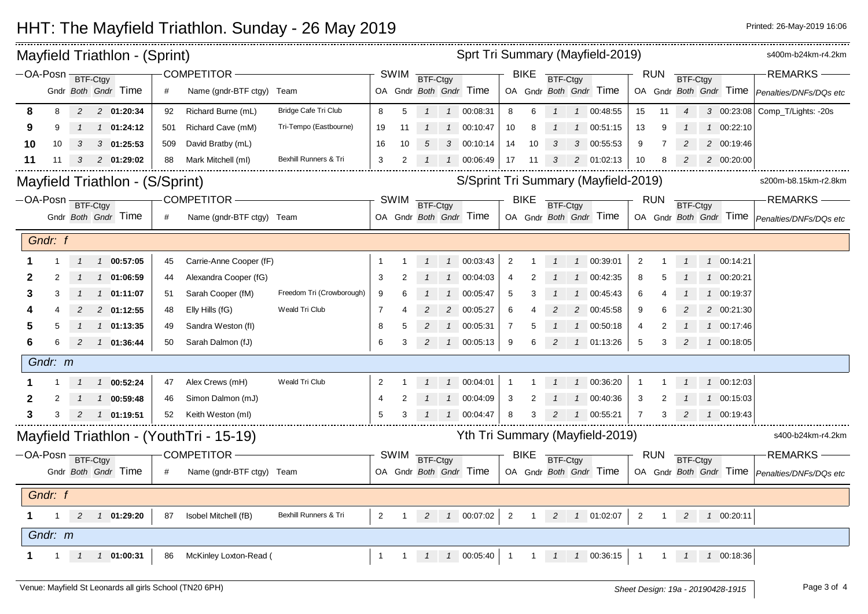## HHT: The Mayfield Triathlon. Sunday - 26 May 2019 **Printed: 26 May 2019 16:06** Printed: 26-May-2019 16:06

| Mayfield Triathlon - (Sprint)   |                     |              |   |                |                            |     |                                         |                           |                |      |          |               |                                    |                            |                         |                |                | Sprt Tri Summary (Mayfield-2019)     |                |            |                |                   | s400m-b24km-r4.2km                              |
|---------------------------------|---------------------|--------------|---|----------------|----------------------------|-----|-----------------------------------------|---------------------------|----------------|------|----------|---------------|------------------------------------|----------------------------|-------------------------|----------------|----------------|--------------------------------------|----------------|------------|----------------|-------------------|-------------------------------------------------|
|                                 | $-OA-Posn$ BTF-Ctgy |              |   |                |                            |     | COMPETITOR-                             |                           |                | SWIM | BTF-Ctgy |               |                                    |                            | <b>BIKE</b>             | BTF-Ctgy       |                |                                      |                | RUN        | BTF-Ctgy       |                   | -REMARKS -                                      |
|                                 |                     |              |   |                | Gndr Both Gndr Time        |     | Name (gndr-BTF ctgy) Team               |                           |                |      |          |               | OA Gndr Both Gndr Time             |                            |                         |                |                | OA Gndr Both Gndr Time               |                |            |                |                   | OA Gndr Both Gndr Time   Penalties/DNFs/DQs etc |
|                                 | 8                   | 8            |   |                | 2 2 01:20:34               | 92  | Richard Burne (mL)                      | Bridge Cafe Tri Club      | 8              | 5    |          |               | 1  1  00:08:31                     | 8                          | 6                       |                |                | 1 00:48:55                           | 15             | 11         | $\overline{4}$ |                   | 3 00:23:08 Comp_T/Lights: -20s                  |
|                                 | 9                   | 9            |   |                | $1 \quad 01:24:12$         | 501 | Richard Cave (mM)                       | Tri-Tempo (Eastbourne)    | 19             | 11   |          |               | 1  1  00:10:47                     | 10                         | 8                       |                |                | 1 00:51:15                           | 13             | 9          |                | 1 00:22:10        |                                                 |
|                                 | 10                  | 10           | 3 |                | 3 01:25:53                 | 509 | David Bratby (mL)                       |                           | 16             | 10   | 5        |               | 3 00:10:14                         | 14                         | 10                      | 3              |                | 3 00:55:53                           | 9              | 7          | 2              | 2 00:19:46        |                                                 |
|                                 | 11                  |              | 3 |                | 2 01:29:02                 | 88  | Mark Mitchell (ml)                      | Bexhill Runners & Tri     | 3              |      |          |               | 1 00:06:49                         | 17                         | -11                     |                | 2              | 01:02:13                             | 10             | 8          | 2              | 2 00:20:00        |                                                 |
| Mayfield Triathlon - (S/Sprint) |                     |              |   |                |                            |     |                                         |                           |                |      |          |               |                                    |                            |                         |                |                | S/Sprint Tri Summary (Mayfield-2019) |                |            |                |                   | s200m-b8.15km-r2.8km                            |
|                                 | -OA-Posn BTF-Ctgy   |              |   |                |                            |     | COMPETITOR-                             |                           |                | SWIM | BTF-Ctgy |               |                                    |                            | <b>BIKE</b><br>BTF-Ctgy |                |                |                                      |                | <b>RUN</b> | BTF-Ctgy       |                   | -REMARKS-                                       |
|                                 |                     |              |   |                | Gndr Both Gndr Time        | #   | Name (gndr-BTF ctgy) Team               |                           |                |      |          |               | OA Gndr Both Gndr Time             |                            |                         |                |                | OA Gndr Both Gndr Time               |                |            |                |                   | OA Gndr Both Gndr Time   Penalties/DNFs/DQs etc |
|                                 | Gndr: f             |              |   |                |                            |     |                                         |                           |                |      |          |               |                                    |                            |                         |                |                |                                      |                |            |                |                   |                                                 |
|                                 |                     |              |   |                | $1 \quad 1 \quad 00:57:05$ | 45  | Carrie-Anne Cooper (fF)                 |                           | $\mathbf 1$    |      |          |               | 1  1  00:03:43                     | $\overline{2}$             |                         |                |                | 1 00:39:01                           | $\overline{2}$ |            |                | 1 00:14:21        |                                                 |
|                                 |                     |              |   | $\overline{1}$ | 01:06:59                   | 44  | Alexandra Cooper (fG)                   |                           | 3              | 2    |          | $\mathcal{I}$ | 00:04:03                           | 4                          |                         |                |                | 00:42:35                             | 8              |            |                | 1 00:20:21        |                                                 |
|                                 | 3                   | 3            |   |                | 1 01:11:07                 | 51  | Sarah Cooper (fM)                       | Freedom Tri (Crowborough) | 9              |      |          | $\mathcal{I}$ | 00:05:47                           | 5                          |                         |                | $\overline{1}$ | 00:45:43                             | 6              |            |                | 1 00:19:37        |                                                 |
|                                 |                     |              |   |                | 2 01:12:55                 | 48  | Elly Hills (fG)                         | Weald Tri Club            | 7              |      |          |               | 2 00:05:27                         | 6                          |                         |                |                | 2 00:45:58                           | 9              |            |                | 2 00:21:30        |                                                 |
|                                 |                     |              |   |                | 1 01:13:35                 | 49  | Sandra Weston (fl)                      |                           | 8              | 5    | 2        |               | 1 00:05:31                         | $\overline{7}$             | 5                       |                | $\mathcal{I}$  | 00:50:18                             | 4              |            |                | 1 00:17:46        |                                                 |
|                                 | 6                   |              | 2 |                | $1 \quad 01:36:44$         | 50  | Sarah Dalmon (fJ)                       |                           | 6              | 3    | 2        |               | 100:05:13                          | 9                          | 6                       | $\overline{c}$ |                | 1 01:13:26                           | 5              | 3          | 2              | 1 00:18:05        |                                                 |
|                                 | Gndr: m             |              |   |                |                            |     |                                         |                           |                |      |          |               |                                    |                            |                         |                |                |                                      |                |            |                |                   |                                                 |
|                                 |                     |              |   |                | 1 1 00:52:24               | 47  | Alex Crews (mH)                         | Weald Tri Club            | $\overline{2}$ |      |          |               | 1 00:04:01                         | $\overline{1}$             |                         |                |                | 1 00:36:20                           |                |            |                | 1 00:12:03        |                                                 |
|                                 |                     |              |   |                | 1 00:59:48                 | 46  | Simon Dalmon (mJ)                       |                           | $\overline{4}$ |      |          |               | 1 00:04:09                         | 3                          |                         |                | $\mathcal{I}$  | 00:40:36                             | 3              |            |                | 1 00:15:03        |                                                 |
|                                 | 3                   |              |   |                | 1 01:19:51                 | 52  | Keith Weston (ml)                       |                           | 5              | 3    |          |               | 1 00:04:47                         |                            | 3                       |                |                | 1 00:55:21                           | 7              |            |                | 1 00:19:43        |                                                 |
|                                 |                     |              |   |                |                            |     | Mayfield Triathlon - (YouthTri - 15-19) |                           |                |      |          |               |                                    |                            |                         |                |                | Yth Tri Summary (Mayfield-2019)      |                |            |                |                   | s400-b24km-r4.2km                               |
|                                 | -OA-Posn BTF-Ctgy   |              |   |                |                            |     | <b>COMPETITOR -</b>                     |                           |                | SWIM | BTF-Ctgy |               |                                    |                            | <b>BIKE</b>             | BTF-Ctgy       |                |                                      |                | <b>RUN</b> | BTF-Ctgy       |                   | <b>REMARKS</b>                                  |
|                                 |                     |              |   |                | Gndr Both Gndr Time        | #   | Name (gndr-BTF ctgy) Team               |                           |                |      |          |               | OA Gndr Both Gndr Time             |                            |                         |                |                | OA Gndr Both Gndr Time               |                |            |                |                   | OA Gndr Both Gndr Time   Penalties/DNFs/DQs etc |
|                                 | Gndr: f             |              |   |                |                            |     |                                         |                           |                |      |          |               |                                    |                            |                         |                |                |                                      |                |            |                |                   |                                                 |
|                                 |                     | $\mathbf{1}$ |   |                | 2  1  01:29:20             | 87  | Isobel Mitchell (fB)                    | Bexhill Runners & Tri     | 2              |      |          |               | 1 2 1 00:07:02 2                   |                            |                         |                |                | 1 2 1 01:02:07                       | $\overline{2}$ |            |                | 1 2 1 00:20:11    |                                                 |
|                                 | Gndr: m             |              |   |                |                            |     |                                         |                           |                |      |          |               |                                    |                            |                         |                |                |                                      |                |            |                |                   |                                                 |
|                                 |                     |              |   |                | 1 $1$ $1$ $1$ 01:00:31     | 86  | McKinley Loxton-Read (                  |                           | $\mathbf{1}$   |      |          |               | $1 \quad 1 \quad 1 \quad 00.05:40$ | $\overline{\phantom{0}}$ 1 | $\overline{1}$          |                |                | 1 1 00:36:15                         | $\overline{1}$ |            |                | 1  1  1  00:18:36 |                                                 |